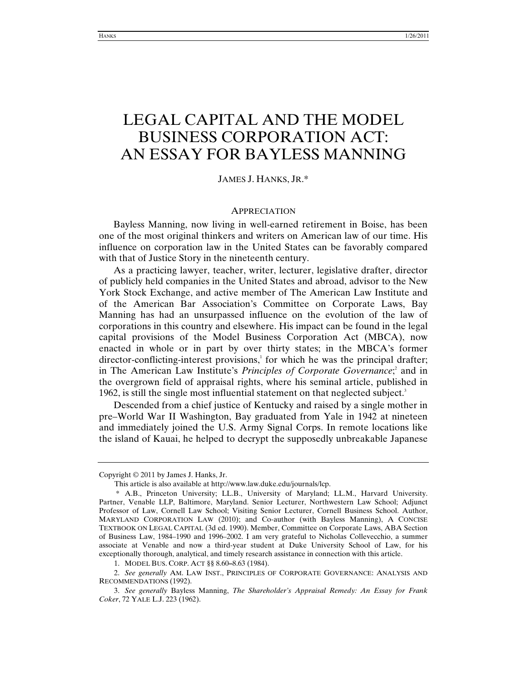# LEGAL CAPITAL AND THE MODEL BUSINESS CORPORATION ACT: AN ESSAY FOR BAYLESS MANNING

## JAMES J. HANKS, JR.\*

#### APPRECIATION

Bayless Manning, now living in well-earned retirement in Boise, has been one of the most original thinkers and writers on American law of our time. His influence on corporation law in the United States can be favorably compared with that of Justice Story in the nineteenth century.

As a practicing lawyer, teacher, writer, lecturer, legislative drafter, director of publicly held companies in the United States and abroad, advisor to the New York Stock Exchange, and active member of The American Law Institute and of the American Bar Association's Committee on Corporate Laws, Bay Manning has had an unsurpassed influence on the evolution of the law of corporations in this country and elsewhere. His impact can be found in the legal capital provisions of the Model Business Corporation Act (MBCA), now enacted in whole or in part by over thirty states; in the MBCA's former  $d$ irector-conflicting-interest provisions, $\frac{1}{2}$  for which he was the principal drafter; in The American Law Institute's *Principles of Corporate Governance*;<sup>2</sup> and in the overgrown field of appraisal rights, where his seminal article, published in 1962, is still the single most influential statement on that neglected subject.<sup>3</sup>

Descended from a chief justice of Kentucky and raised by a single mother in pre–World War II Washington, Bay graduated from Yale in 1942 at nineteen and immediately joined the U.S. Army Signal Corps. In remote locations like the island of Kauai, he helped to decrypt the supposedly unbreakable Japanese

Copyright © 2011 by James J. Hanks, Jr.

This article is also available at http://www.law.duke.edu/journals/lcp.

 <sup>\*</sup> A.B., Princeton University; LL.B., University of Maryland; LL.M., Harvard University. Partner, Venable LLP, Baltimore, Maryland. Senior Lecturer, Northwestern Law School; Adjunct Professor of Law, Cornell Law School; Visiting Senior Lecturer, Cornell Business School. Author, MARYLAND CORPORATION LAW (2010); and Co-author (with Bayless Manning), A CONCISE TEXTBOOK ON LEGAL CAPITAL (3d ed. 1990). Member, Committee on Corporate Laws, ABA Section of Business Law, 1984–1990 and 1996–2002. I am very grateful to Nicholas Collevecchio, a summer associate at Venable and now a third-year student at Duke University School of Law, for his exceptionally thorough, analytical, and timely research assistance in connection with this article.

 <sup>1.</sup> MODEL BUS. CORP. ACT §§ 8.60**–**8.63 (1984).

 <sup>2.</sup> *See generally* AM. LAW INST., PRINCIPLES OF CORPORATE GOVERNANCE: ANALYSIS AND RECOMMENDATIONS (1992).

 <sup>3.</sup> *See generally* Bayless Manning, *The Shareholder's Appraisal Remedy: An Essay for Frank Coker*, 72 YALE L.J. 223 (1962).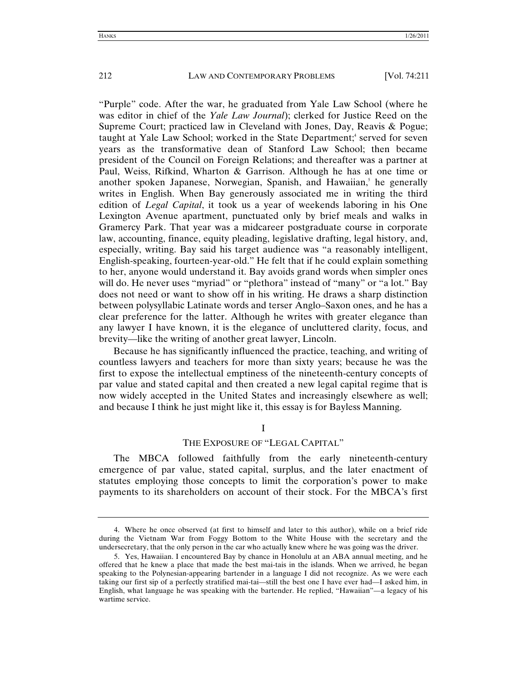"Purple" code. After the war, he graduated from Yale Law School (where he was editor in chief of the *Yale Law Journal*); clerked for Justice Reed on the Supreme Court; practiced law in Cleveland with Jones, Day, Reavis & Pogue; taught at Yale Law School; worked in the State Department;<sup>4</sup> served for seven years as the transformative dean of Stanford Law School; then became president of the Council on Foreign Relations; and thereafter was a partner at Paul, Weiss, Rifkind, Wharton & Garrison. Although he has at one time or another spoken Japanese, Norwegian, Spanish, and Hawaiian,<sup>5</sup> he generally writes in English. When Bay generously associated me in writing the third edition of *Legal Capital*, it took us a year of weekends laboring in his One Lexington Avenue apartment, punctuated only by brief meals and walks in Gramercy Park. That year was a midcareer postgraduate course in corporate law, accounting, finance, equity pleading, legislative drafting, legal history, and, especially, writing. Bay said his target audience was "a reasonably intelligent, English-speaking, fourteen-year-old." He felt that if he could explain something to her, anyone would understand it. Bay avoids grand words when simpler ones will do. He never uses "myriad" or "plethora" instead of "many" or "a lot." Bay does not need or want to show off in his writing. He draws a sharp distinction between polysyllabic Latinate words and terser Anglo–Saxon ones, and he has a clear preference for the latter. Although he writes with greater elegance than any lawyer I have known, it is the elegance of uncluttered clarity, focus, and brevity—like the writing of another great lawyer, Lincoln.

Because he has significantly influenced the practice, teaching, and writing of countless lawyers and teachers for more than sixty years; because he was the first to expose the intellectual emptiness of the nineteenth-century concepts of par value and stated capital and then created a new legal capital regime that is now widely accepted in the United States and increasingly elsewhere as well; and because I think he just might like it, this essay is for Bayless Manning.

## I THE EXPOSURE OF "LEGAL CAPITAL"

The MBCA followed faithfully from the early nineteenth-century emergence of par value, stated capital, surplus, and the later enactment of statutes employing those concepts to limit the corporation's power to make payments to its shareholders on account of their stock. For the MBCA's first

 <sup>4.</sup> Where he once observed (at first to himself and later to this author), while on a brief ride during the Vietnam War from Foggy Bottom to the White House with the secretary and the undersecretary, that the only person in the car who actually knew where he was going was the driver.

 <sup>5.</sup> Yes, Hawaiian. I encountered Bay by chance in Honolulu at an ABA annual meeting, and he offered that he knew a place that made the best mai-tais in the islands. When we arrived, he began speaking to the Polynesian-appearing bartender in a language I did not recognize. As we were each taking our first sip of a perfectly stratified mai-tai—still the best one I have ever had—I asked him, in English, what language he was speaking with the bartender. He replied, "Hawaiian"—a legacy of his wartime service.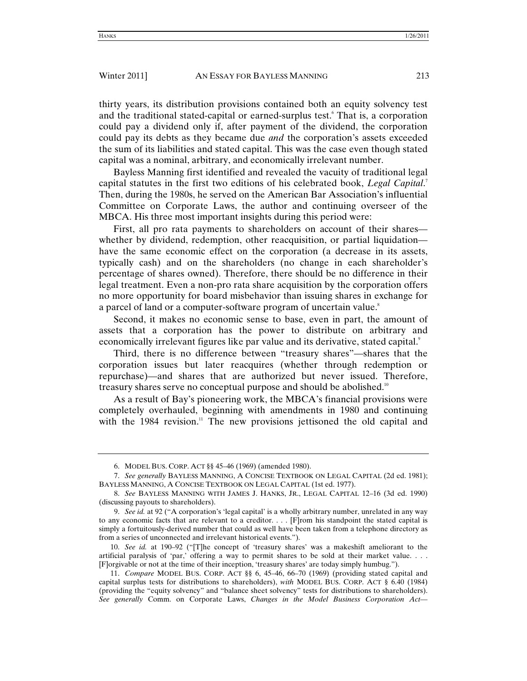thirty years, its distribution provisions contained both an equity solvency test and the traditional stated-capital or earned-surplus test.<sup>6</sup> That is, a corporation could pay a dividend only if, after payment of the dividend, the corporation could pay its debts as they became due *and* the corporation's assets exceeded the sum of its liabilities and stated capital. This was the case even though stated capital was a nominal, arbitrary, and economically irrelevant number.

Bayless Manning first identified and revealed the vacuity of traditional legal capital statutes in the first two editions of his celebrated book, *Legal Capital*. 7 Then, during the 1980s, he served on the American Bar Association's influential Committee on Corporate Laws, the author and continuing overseer of the MBCA. His three most important insights during this period were:

First, all pro rata payments to shareholders on account of their shares whether by dividend, redemption, other reacquisition, or partial liquidation have the same economic effect on the corporation (a decrease in its assets, typically cash) and on the shareholders (no change in each shareholder's percentage of shares owned). Therefore, there should be no difference in their legal treatment. Even a non-pro rata share acquisition by the corporation offers no more opportunity for board misbehavior than issuing shares in exchange for a parcel of land or a computer-software program of uncertain value.<sup>8</sup>

Second, it makes no economic sense to base, even in part, the amount of assets that a corporation has the power to distribute on arbitrary and economically irrelevant figures like par value and its derivative, stated capital.<sup>9</sup>

Third, there is no difference between "treasury shares"—shares that the corporation issues but later reacquires (whether through redemption or repurchase)—and shares that are authorized but never issued. Therefore, treasury shares serve no conceptual purpose and should be abolished.<sup>10</sup>

As a result of Bay's pioneering work, the MBCA's financial provisions were completely overhauled, beginning with amendments in 1980 and continuing with the 1984 revision.<sup>11</sup> The new provisions jettisoned the old capital and

 <sup>6.</sup> MODEL BUS. CORP. ACT §§ 45–46 (1969) (amended 1980).

 <sup>7.</sup> *See generally* BAYLESS MANNING, A CONCISE TEXTBOOK ON LEGAL CAPITAL (2d ed. 1981); BAYLESS MANNING, A CONCISE TEXTBOOK ON LEGAL CAPITAL (1st ed. 1977).

<sup>8.</sup> *See* BAYLESS MANNING WITH JAMES J. HANKS, JR., LEGAL CAPITAL 12–16 (3d ed. 1990) (discussing payouts to shareholders).

<sup>9.</sup> *See id.* at 92 ("A corporation's 'legal capital' is a wholly arbitrary number, unrelated in any way to any economic facts that are relevant to a creditor. . . . [F]rom his standpoint the stated capital is simply a fortuitously-derived number that could as well have been taken from a telephone directory as from a series of unconnected and irrelevant historical events.").

<sup>10.</sup> *See id.* at 190–92 ("[T]he concept of 'treasury shares' was a makeshift ameliorant to the artificial paralysis of 'par,' offering a way to permit shares to be sold at their market value. . . . [F]orgivable or not at the time of their inception, 'treasury shares' are today simply humbug.").

<sup>11.</sup> *Compare* MODEL BUS. CORP. ACT §§ 6, 45–46, 66–70 (1969) (providing stated capital and capital surplus tests for distributions to shareholders), *with* MODEL BUS. CORP. ACT § 6.40 (1984) (providing the "equity solvency" and "balance sheet solvency" tests for distributions to shareholders). *See generally* Comm. on Corporate Laws, *Changes in the Model Business Corporation Act—*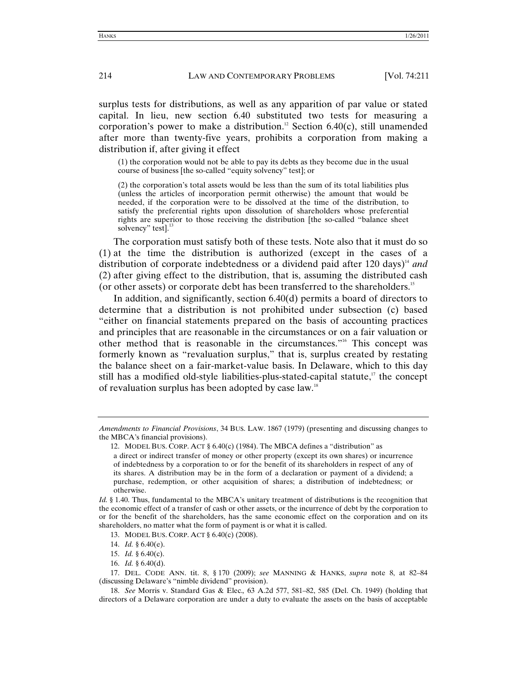surplus tests for distributions, as well as any apparition of par value or stated capital. In lieu, new section 6.40 substituted two tests for measuring a corporation's power to make a distribution.<sup>12</sup> Section 6.40(c), still unamended after more than twenty-five years, prohibits a corporation from making a distribution if, after giving it effect

(1) the corporation would not be able to pay its debts as they become due in the usual course of business [the so-called "equity solvency" test]; or

(2) the corporation's total assets would be less than the sum of its total liabilities plus (unless the articles of incorporation permit otherwise) the amount that would be needed, if the corporation were to be dissolved at the time of the distribution, to satisfy the preferential rights upon dissolution of shareholders whose preferential rights are superior to those receiving the distribution [the so-called "balance sheet solvency" test]. $\frac{1}{1}$ 

The corporation must satisfy both of these tests. Note also that it must do so (1) at the time the distribution is authorized (except in the cases of a distribution of corporate indebtedness or a dividend paid after 120 days)<sup>14</sup> and (2) after giving effect to the distribution, that is, assuming the distributed cash (or other assets) or corporate debt has been transferred to the shareholders.15

In addition, and significantly, section 6.40(d) permits a board of directors to determine that a distribution is not prohibited under subsection (c) based "either on financial statements prepared on the basis of accounting practices and principles that are reasonable in the circumstances or on a fair valuation or other method that is reasonable in the circumstances."16 This concept was formerly known as "revaluation surplus," that is, surplus created by restating the balance sheet on a fair-market-value basis. In Delaware, which to this day still has a modified old-style liabilities-plus-stated-capital statute, $17$  the concept of revaluation surplus has been adopted by case law.18

*Amendments to Financial Provisions*, 34 BUS. LAW. 1867 (1979) (presenting and discussing changes to the MBCA's financial provisions).

<sup>12.</sup> MODEL BUS. CORP. ACT  $\S 6.40(c)$  (1984). The MBCA defines a "distribution" as

a direct or indirect transfer of money or other property (except its own shares) or incurrence of indebtedness by a corporation to or for the benefit of its shareholders in respect of any of its shares. A distribution may be in the form of a declaration or payment of a dividend; a purchase, redemption, or other acquisition of shares; a distribution of indebtedness; or otherwise.

*Id.* § 1.40. Thus, fundamental to the MBCA's unitary treatment of distributions is the recognition that the economic effect of a transfer of cash or other assets, or the incurrence of debt by the corporation to or for the benefit of the shareholders, has the same economic effect on the corporation and on its shareholders, no matter what the form of payment is or what it is called.

 <sup>13.</sup> MODEL BUS. CORP. ACT § 6.40(c) (2008).

<sup>14.</sup> *Id.* § 6.40(e).

<sup>15.</sup> *Id.* § 6.40(c).

<sup>16.</sup> *Id.* § 6.40(d).

 <sup>17.</sup> DEL. CODE ANN. tit. 8, § 170 (2009); *see* MANNING & HANKS, *supra* note 8, at 82–84 (discussing Delaware's "nimble dividend" provision).

<sup>18.</sup> *See* Morris v. Standard Gas & Elec.*,* 63 A.2d 577, 581–82, 585 (Del. Ch. 1949) (holding that directors of a Delaware corporation are under a duty to evaluate the assets on the basis of acceptable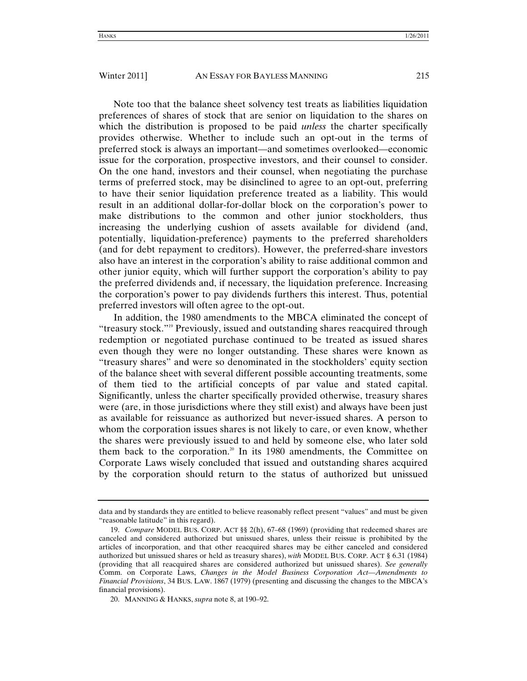Note too that the balance sheet solvency test treats as liabilities liquidation preferences of shares of stock that are senior on liquidation to the shares on which the distribution is proposed to be paid *unless* the charter specifically provides otherwise. Whether to include such an opt-out in the terms of preferred stock is always an important—and sometimes overlooked—economic issue for the corporation, prospective investors, and their counsel to consider. On the one hand, investors and their counsel, when negotiating the purchase terms of preferred stock, may be disinclined to agree to an opt-out, preferring to have their senior liquidation preference treated as a liability. This would result in an additional dollar-for-dollar block on the corporation's power to make distributions to the common and other junior stockholders, thus increasing the underlying cushion of assets available for dividend (and, potentially, liquidation-preference) payments to the preferred shareholders (and for debt repayment to creditors). However, the preferred-share investors also have an interest in the corporation's ability to raise additional common and other junior equity, which will further support the corporation's ability to pay the preferred dividends and, if necessary, the liquidation preference. Increasing the corporation's power to pay dividends furthers this interest. Thus, potential preferred investors will often agree to the opt-out.

In addition, the 1980 amendments to the MBCA eliminated the concept of "treasury stock."19 Previously, issued and outstanding shares reacquired through redemption or negotiated purchase continued to be treated as issued shares even though they were no longer outstanding. These shares were known as "treasury shares" and were so denominated in the stockholders' equity section of the balance sheet with several different possible accounting treatments, some of them tied to the artificial concepts of par value and stated capital. Significantly, unless the charter specifically provided otherwise, treasury shares were (are, in those jurisdictions where they still exist) and always have been just as available for reissuance as authorized but never-issued shares. A person to whom the corporation issues shares is not likely to care, or even know, whether the shares were previously issued to and held by someone else, who later sold them back to the corporation.<sup>20</sup> In its 1980 amendments, the Committee on Corporate Laws wisely concluded that issued and outstanding shares acquired by the corporation should return to the status of authorized but unissued

data and by standards they are entitled to believe reasonably reflect present "values" and must be given "reasonable latitude" in this regard).

<sup>19.</sup> *Compare* MODEL BUS. CORP. ACT §§ 2(h), 67–68 (1969) (providing that redeemed shares are canceled and considered authorized but unissued shares, unless their reissue is prohibited by the articles of incorporation, and that other reacquired shares may be either canceled and considered authorized but unissued shares or held as treasury shares), *with* MODEL BUS. CORP. ACT § 6.31 (1984) (providing that all reacquired shares are considered authorized but unissued shares). *See generally* Comm. on Corporate Laws, *Changes in the Model Business Corporation Act—Amendments to Financial Provisions*, 34 BUS. LAW. 1867 (1979) (presenting and discussing the changes to the MBCA's financial provisions).

 <sup>20.</sup> MANNING & HANKS, *supra* note 8, at 190–92.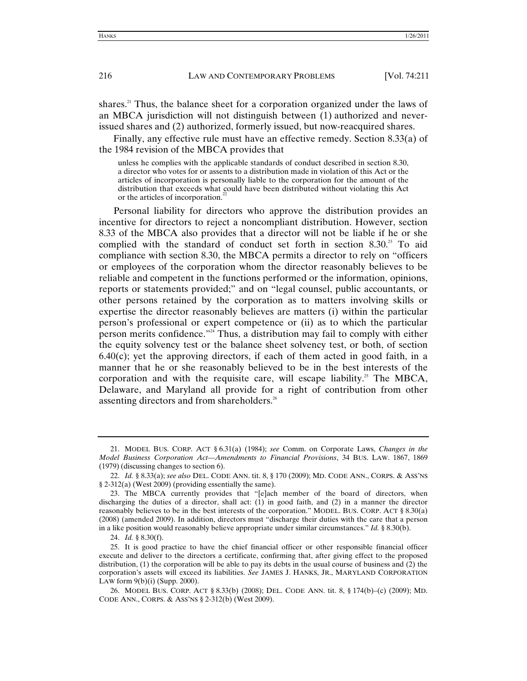shares.<sup>21</sup> Thus, the balance sheet for a corporation organized under the laws of an MBCA jurisdiction will not distinguish between (1) authorized and neverissued shares and (2) authorized, formerly issued, but now-reacquired shares.

Finally, any effective rule must have an effective remedy. Section 8.33(a) of the 1984 revision of the MBCA provides that

unless he complies with the applicable standards of conduct described in section 8.30, a director who votes for or assents to a distribution made in violation of this Act or the articles of incorporation is personally liable to the corporation for the amount of the distribution that exceeds what could have been distributed without violating this Act or the articles of incorporation.<sup>2</sup>

Personal liability for directors who approve the distribution provides an incentive for directors to reject a noncompliant distribution. However, section 8.33 of the MBCA also provides that a director will not be liable if he or she complied with the standard of conduct set forth in section 8.30.<sup>23</sup> To aid compliance with section 8.30, the MBCA permits a director to rely on "officers or employees of the corporation whom the director reasonably believes to be reliable and competent in the functions performed or the information, opinions, reports or statements provided;" and on "legal counsel, public accountants, or other persons retained by the corporation as to matters involving skills or expertise the director reasonably believes are matters (i) within the particular person's professional or expert competence or (ii) as to which the particular person merits confidence."<sup>24</sup> Thus, a distribution may fail to comply with either the equity solvency test or the balance sheet solvency test, or both, of section  $6.40(c)$ ; yet the approving directors, if each of them acted in good faith, in a manner that he or she reasonably believed to be in the best interests of the corporation and with the requisite care, will escape liability.<sup>25</sup> The MBCA, Delaware, and Maryland all provide for a right of contribution from other assenting directors and from shareholders.<sup>26</sup>

24. *Id.* § 8.30(f).

 <sup>21.</sup> MODEL BUS. CORP. ACT § 6.31(a) (1984); *see* Comm. on Corporate Laws, *Changes in the Model Business Corporation Act—Amendments to Financial Provisions*, 34 BUS. LAW. 1867, 1869 (1979) (discussing changes to section 6).

<sup>22.</sup> *Id.* § 8.33(a); *see also* DEL. CODE ANN. tit. 8, § 170 (2009); MD. CODE ANN., CORPS. & ASS'NS § 2-312(a) (West 2009) (providing essentially the same).

 <sup>23.</sup> The MBCA currently provides that "[e]ach member of the board of directors, when discharging the duties of a director, shall act:  $(1)$  in good faith, and  $(2)$  in a manner the director reasonably believes to be in the best interests of the corporation." MODEL. BUS. CORP. ACT § 8.30(a) (2008) (amended 2009). In addition, directors must "discharge their duties with the care that a person in a like position would reasonably believe appropriate under similar circumstances." *Id.* § 8.30(b).

 <sup>25.</sup> It is good practice to have the chief financial officer or other responsible financial officer execute and deliver to the directors a certificate, confirming that, after giving effect to the proposed distribution, (1) the corporation will be able to pay its debts in the usual course of business and (2) the corporation's assets will exceed its liabilities. *See* JAMES J. HANKS, JR., MARYLAND CORPORATION LAW form  $9(b)(i)$  (Supp. 2000).

 <sup>26.</sup> MODEL BUS. CORP. ACT § 8.33(b) (2008); DEL. CODE ANN. tit. 8, § 174(b)–(c) (2009); MD. CODE ANN., CORPS. & ASS'NS § 2-312(b) (West 2009).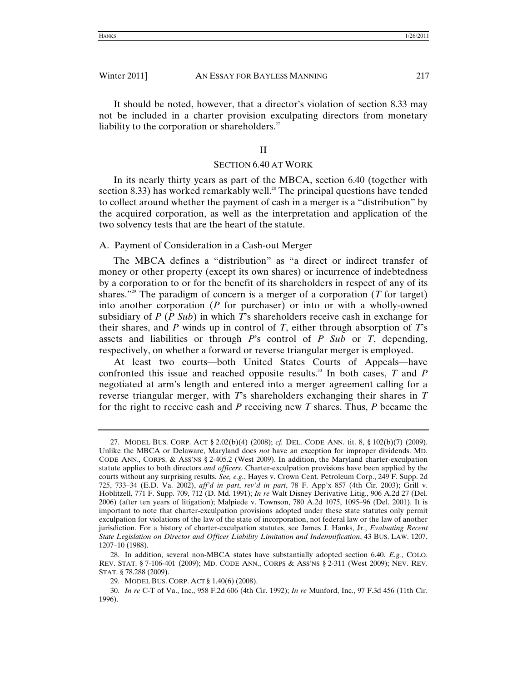It should be noted, however, that a director's violation of section 8.33 may not be included in a charter provision exculpating directors from monetary liability to the corporation or shareholders. $27$ 

### II

### SECTION 6.40 AT WORK

In its nearly thirty years as part of the MBCA, section 6.40 (together with section 8.33) has worked remarkably well.<sup>28</sup> The principal questions have tended to collect around whether the payment of cash in a merger is a "distribution" by the acquired corporation, as well as the interpretation and application of the two solvency tests that are the heart of the statute.

## A. Payment of Consideration in a Cash-out Merger

The MBCA defines a "distribution" as "a direct or indirect transfer of money or other property (except its own shares) or incurrence of indebtedness by a corporation to or for the benefit of its shareholders in respect of any of its shares.<sup>"29</sup> The paradigm of concern is a merger of a corporation (*T* for target) into another corporation (*P* for purchaser) or into or with a wholly-owned subsidiary of *P* (*P Sub*) in which *T*'s shareholders receive cash in exchange for their shares, and *P* winds up in control of *T*, either through absorption of *T*'s assets and liabilities or through *P*'s control of *P Sub* or *T*, depending, respectively, on whether a forward or reverse triangular merger is employed.

At least two courts—both United States Courts of Appeals—have confronted this issue and reached opposite results.<sup>30</sup> In both cases,  $T$  and  $P$ negotiated at arm's length and entered into a merger agreement calling for a reverse triangular merger, with *T*'s shareholders exchanging their shares in *T* for the right to receive cash and *P* receiving new *T* shares. Thus, *P* became the

 <sup>27.</sup> MODEL BUS. CORP. ACT § 2.02(b)(4) (2008); *cf.* DEL. CODE ANN. tit. 8, § 102(b)(7) (2009). Unlike the MBCA or Delaware, Maryland does *not* have an exception for improper dividends. MD. CODE ANN., CORPS. & ASS'NS § 2-405.2 (West 2009). In addition, the Maryland charter-exculpation statute applies to both directors *and officers*. Charter-exculpation provisions have been applied by the courts without any surprising results. *See, e.g.*, Hayes v. Crown Cent. Petroleum Corp., 249 F. Supp. 2d 725, 733–34 (E.D. Va. 2002), *aff'd in part*, *rev'd in part*, 78 F. App'x 857 (4th Cir. 2003); Grill v*.*  Hoblitzell, 771 F. Supp. 709, 712 (D. Md. 1991); *In re* Walt Disney Derivative Litig., 906 A.2d 27 (Del. 2006) (after ten years of litigation); Malpiede v. Townson, 780 A.2d 1075, 1095–96 (Del. 2001). It is important to note that charter-exculpation provisions adopted under these state statutes only permit exculpation for violations of the law of the state of incorporation, not federal law or the law of another jurisdiction. For a history of charter-exculpation statutes, see James J. Hanks, Jr., *Evaluating Recent State Legislation on Director and Officer Liability Limitation and Indemnification*, 43 BUS. LAW. 1207, 1207–10 (1988).

 <sup>28.</sup> In addition, several non-MBCA states have substantially adopted section 6.40. *E.g.*, COLO. REV. STAT. § 7-106-401 (2009); MD. CODE ANN., CORPS & ASS'NS § 2-311 (West 2009); NEV. REV. STAT. § 78.288 (2009).

 <sup>29.</sup> MODEL BUS. CORP. ACT § 1.40(6) (2008).

<sup>30.</sup> *In re* C-T of Va., Inc., 958 F.2d 606 (4th Cir. 1992); *In re* Munford, Inc., 97 F.3d 456 (11th Cir. 1996).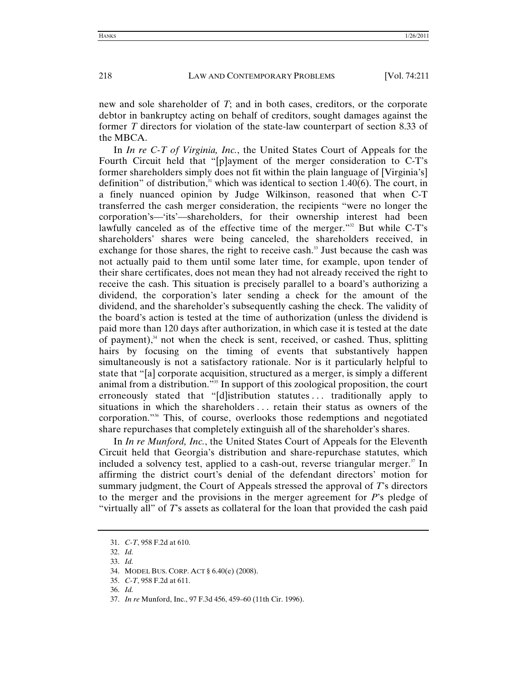new and sole shareholder of *T*; and in both cases, creditors, or the corporate debtor in bankruptcy acting on behalf of creditors, sought damages against the former *T* directors for violation of the state-law counterpart of section 8.33 of the MBCA.

In *In re C-T of Virginia, Inc.*, the United States Court of Appeals for the Fourth Circuit held that "[p]ayment of the merger consideration to C-T's former shareholders simply does not fit within the plain language of [Virginia's] definition" of distribution, $3<sup>1</sup>$  which was identical to section 1.40(6). The court, in a finely nuanced opinion by Judge Wilkinson, reasoned that when C-T transferred the cash merger consideration, the recipients "were no longer the corporation's—'its'—shareholders, for their ownership interest had been lawfully canceled as of the effective time of the merger."<sup>32</sup> But while C-T's shareholders' shares were being canceled, the shareholders received, in exchange for those shares, the right to receive cash.<sup>33</sup> Just because the cash was not actually paid to them until some later time, for example, upon tender of their share certificates, does not mean they had not already received the right to receive the cash. This situation is precisely parallel to a board's authorizing a dividend, the corporation's later sending a check for the amount of the dividend, and the shareholder's subsequently cashing the check. The validity of the board's action is tested at the time of authorization (unless the dividend is paid more than 120 days after authorization, in which case it is tested at the date of payment), $34$  not when the check is sent, received, or cashed. Thus, splitting hairs by focusing on the timing of events that substantively happen simultaneously is not a satisfactory rationale. Nor is it particularly helpful to state that "[a] corporate acquisition, structured as a merger, is simply a different animal from a distribution."35 In support of this zoological proposition, the court erroneously stated that "[d]istribution statutes . . . traditionally apply to situations in which the shareholders . . . retain their status as owners of the corporation."36 This, of course, overlooks those redemptions and negotiated share repurchases that completely extinguish all of the shareholder's shares.

In *In re Munford, Inc.*, the United States Court of Appeals for the Eleventh Circuit held that Georgia's distribution and share-repurchase statutes, which included a solvency test, applied to a cash-out, reverse triangular merger.<sup>37</sup> In affirming the district court's denial of the defendant directors' motion for summary judgment, the Court of Appeals stressed the approval of *T*'s directors to the merger and the provisions in the merger agreement for *P*'s pledge of "virtually all" of *T*'s assets as collateral for the loan that provided the cash paid

 <sup>31.</sup> *C-T*, 958 F.2d at 610.

<sup>32.</sup> *Id.*

<sup>33.</sup> *Id.*

 <sup>34.</sup> MODEL BUS. CORP. ACT § 6.40(e) (2008).

<sup>35.</sup> *C-T*, 958 F.2d at 611.

<sup>36.</sup> *Id.*

 <sup>37.</sup> *In re* Munford, Inc., 97 F.3d 456, 459–60 (11th Cir. 1996).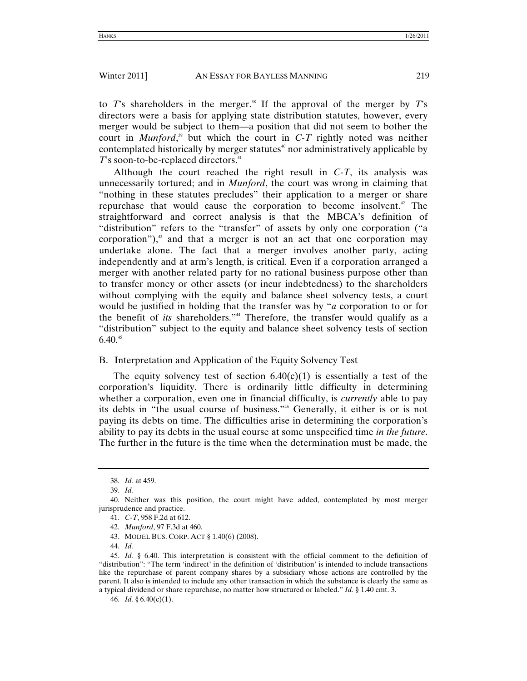to  $T$ 's shareholders in the merger.<sup>38</sup> If the approval of the merger by  $T$ 's directors were a basis for applying state distribution statutes, however, every merger would be subject to them—a position that did not seem to bother the court in *Munford*,<sup>39</sup> but which the court in  $C-T$  rightly noted was neither contemplated historically by merger statutes $\alpha$  nor administratively applicable by *T*'s soon-to-be-replaced directors.<sup>41</sup>

Although the court reached the right result in *C-T*, its analysis was unnecessarily tortured; and in *Munford*, the court was wrong in claiming that "nothing in these statutes precludes" their application to a merger or share repurchase that would cause the corporation to become insolvent.<sup>42</sup> The straightforward and correct analysis is that the MBCA's definition of "distribution" refers to the "transfer" of assets by only one corporation ("a corporation"), $43$  and that a merger is not an act that one corporation may undertake alone. The fact that a merger involves another party, acting independently and at arm's length, is critical. Even if a corporation arranged a merger with another related party for no rational business purpose other than to transfer money or other assets (or incur indebtedness) to the shareholders without complying with the equity and balance sheet solvency tests, a court would be justified in holding that the transfer was by "*a* corporation to or for the benefit of *its* shareholders."<sup>44</sup> Therefore, the transfer would qualify as a "distribution" subject to the equity and balance sheet solvency tests of section  $6.40^{45}$ 

## B. Interpretation and Application of the Equity Solvency Test

The equity solvency test of section  $6.40(c)(1)$  is essentially a test of the corporation's liquidity. There is ordinarily little difficulty in determining whether a corporation, even one in financial difficulty, is *currently* able to pay its debts in "the usual course of business."46 Generally, it either is or is not paying its debts on time. The difficulties arise in determining the corporation's ability to pay its debts in the usual course at some unspecified time *in the future*. The further in the future is the time when the determination must be made, the

<sup>38.</sup> *Id.* at 459.

<sup>39.</sup> *Id.*

 <sup>40.</sup> Neither was this position, the court might have added, contemplated by most merger jurisprudence and practice.

<sup>41.</sup> *C-T*, 958 F.2d at 612.

<sup>42.</sup> *Munford*, 97 F.3d at 460.

 <sup>43.</sup> MODEL BUS. CORP. ACT § 1.40(6) (2008).

<sup>44.</sup> *Id.*

<sup>45.</sup> *Id.* § 6.40. This interpretation is consistent with the official comment to the definition of "distribution": "The term 'indirect' in the definition of 'distribution' is intended to include transactions like the repurchase of parent company shares by a subsidiary whose actions are controlled by the parent. It also is intended to include any other transaction in which the substance is clearly the same as a typical dividend or share repurchase, no matter how structured or labeled." *Id.* § 1.40 cmt. 3.

<sup>46.</sup> *Id.* § 6.40(c)(1).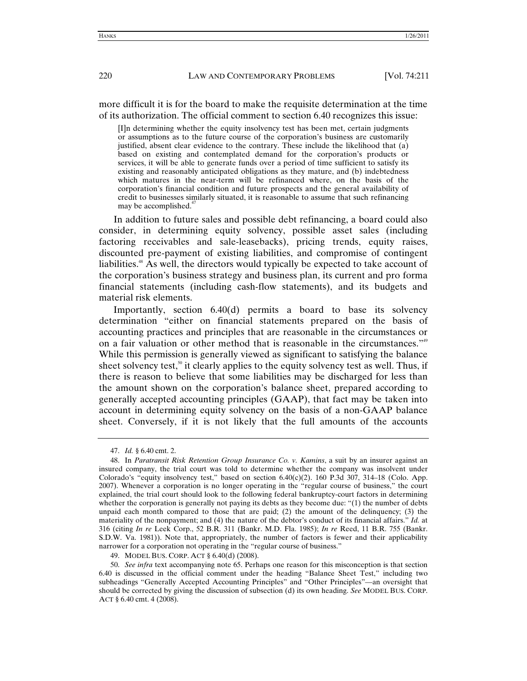more difficult it is for the board to make the requisite determination at the time of its authorization. The official comment to section 6.40 recognizes this issue:

[I]n determining whether the equity insolvency test has been met, certain judgments or assumptions as to the future course of the corporation's business are customarily justified, absent clear evidence to the contrary. These include the likelihood that (a) based on existing and contemplated demand for the corporation's products or services, it will be able to generate funds over a period of time sufficient to satisfy its existing and reasonably anticipated obligations as they mature, and (b) indebtedness which matures in the near-term will be refinanced where, on the basis of the corporation's financial condition and future prospects and the general availability of credit to businesses similarly situated, it is reasonable to assume that such refinancing may be accomplished. $47$ 

In addition to future sales and possible debt refinancing, a board could also consider, in determining equity solvency, possible asset sales (including factoring receivables and sale-leasebacks), pricing trends, equity raises, discounted pre-payment of existing liabilities, and compromise of contingent liabilities.<sup>48</sup> As well, the directors would typically be expected to take account of the corporation's business strategy and business plan, its current and pro forma financial statements (including cash-flow statements), and its budgets and material risk elements.

Importantly, section 6.40(d) permits a board to base its solvency determination "either on financial statements prepared on the basis of accounting practices and principles that are reasonable in the circumstances or on a fair valuation or other method that is reasonable in the circumstances."49 While this permission is generally viewed as significant to satisfying the balance sheet solvency test,<sup>50</sup> it clearly applies to the equity solvency test as well. Thus, if there is reason to believe that some liabilities may be discharged for less than the amount shown on the corporation's balance sheet, prepared according to generally accepted accounting principles (GAAP), that fact may be taken into account in determining equity solvency on the basis of a non-GAAP balance sheet. Conversely, if it is not likely that the full amounts of the accounts

<sup>47.</sup> *Id.* § 6.40 cmt. 2.

 <sup>48.</sup> In *Paratransit Risk Retention Group Insurance Co. v. Kamins*, a suit by an insurer against an insured company, the trial court was told to determine whether the company was insolvent under Colorado's "equity insolvency test," based on section  $6.40(c)(2)$ . 160 P.3d 307, 314–18 (Colo. App. 2007). Whenever a corporation is no longer operating in the "regular course of business," the court explained, the trial court should look to the following federal bankruptcy-court factors in determining whether the corporation is generally not paying its debts as they become due: "(1) the number of debts unpaid each month compared to those that are paid; (2) the amount of the delinquency; (3) the materiality of the nonpayment; and (4) the nature of the debtor's conduct of its financial affairs." *Id.* at 316 (citing *In re* Leek Corp., 52 B.R. 311 (Bankr. M.D. Fla. 1985); *In re* Reed, 11 B.R. 755 (Bankr. S.D.W. Va. 1981)). Note that, appropriately, the number of factors is fewer and their applicability narrower for a corporation not operating in the "regular course of business."

 <sup>49.</sup> MODEL BUS. CORP. ACT § 6.40(d) (2008).

<sup>50.</sup> *See infra* text accompanying note 65. Perhaps one reason for this misconception is that section 6.40 is discussed in the official comment under the heading "Balance Sheet Test," including two subheadings "Generally Accepted Accounting Principles" and "Other Principles"—an oversight that should be corrected by giving the discussion of subsection (d) its own heading. *See* MODEL BUS. CORP. ACT § 6.40 cmt. 4 (2008).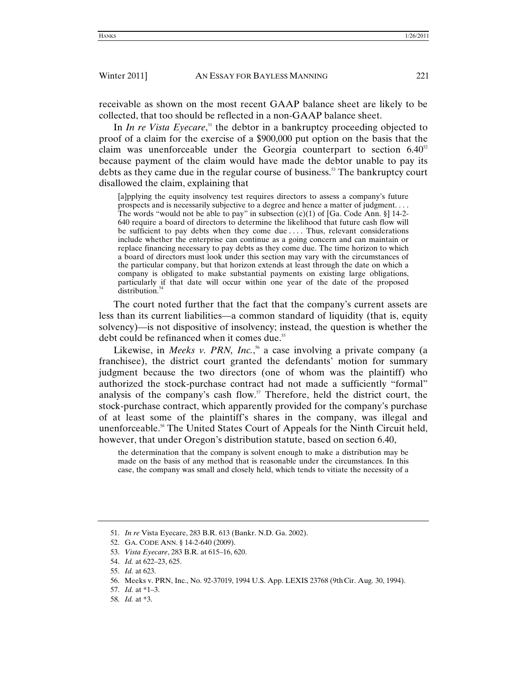receivable as shown on the most recent GAAP balance sheet are likely to be collected, that too should be reflected in a non-GAAP balance sheet.

In *In re Vista Eyecare*,<sup>51</sup> the debtor in a bankruptcy proceeding objected to proof of a claim for the exercise of a \$900,000 put option on the basis that the claim was unenforceable under the Georgia counterpart to section  $6.40^{52}$ because payment of the claim would have made the debtor unable to pay its debts as they came due in the regular course of business.<sup>53</sup> The bankruptcy court disallowed the claim, explaining that

[a]pplying the equity insolvency test requires directors to assess a company's future prospects and is necessarily subjective to a degree and hence a matter of judgment. . . . The words "would not be able to pay" in subsection  $(c)(1)$  of [Ga. Code Ann. §] 14-2-640 require a board of directors to determine the likelihood that future cash flow will be sufficient to pay debts when they come due .... Thus, relevant considerations include whether the enterprise can continue as a going concern and can maintain or replace financing necessary to pay debts as they come due. The time horizon to which a board of directors must look under this section may vary with the circumstances of the particular company, but that horizon extends at least through the date on which a company is obligated to make substantial payments on existing large obligations, particularly if that date will occur within one year of the date of the proposed distribution.<sup>5</sup>

The court noted further that the fact that the company's current assets are less than its current liabilities—a common standard of liquidity (that is, equity solvency)—is not dispositive of insolvency; instead, the question is whether the debt could be refinanced when it comes due.<sup>55</sup>

Likewise, in *Meeks v. PRN, Inc.*,<sup>56</sup> a case involving a private company (a franchisee), the district court granted the defendants' motion for summary judgment because the two directors (one of whom was the plaintiff) who authorized the stock-purchase contract had not made a sufficiently "formal" analysis of the company's cash flow. $57$  Therefore, held the district court, the stock-purchase contract, which apparently provided for the company's purchase of at least some of the plaintiff's shares in the company, was illegal and unenforceable.<sup>58</sup> The United States Court of Appeals for the Ninth Circuit held, however, that under Oregon's distribution statute, based on section 6.40,

the determination that the company is solvent enough to make a distribution may be made on the basis of any method that is reasonable under the circumstances. In this case, the company was small and closely held, which tends to vitiate the necessity of a

53. *Vista Eyecare*, 283 B.R. at 615–16, 620.

- 57. *Id.* at \*1–3.
- 58. *Id.* at \*3.

 <sup>51.</sup> *In re* Vista Eyecare, 283 B.R. 613 (Bankr. N.D. Ga. 2002).

 <sup>52.</sup> GA. CODE ANN. § 14-2-640 (2009).

<sup>54.</sup> *Id.* at 622–23, 625.

<sup>55.</sup> *Id.* at 623.

 <sup>56.</sup> Meeks v. PRN, Inc., No. 92-37019, 1994 U.S. App. LEXIS 23768 (9thCir. Aug. 30, 1994).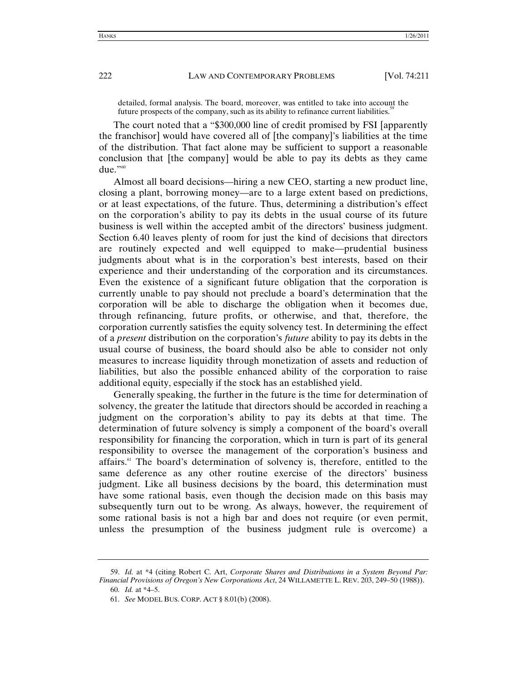detailed, formal analysis. The board, moreover, was entitled to take into account the future prospects of the company, such as its ability to refinance current liabilities.<sup>59</sup>

The court noted that a "\$300,000 line of credit promised by FSI [apparently the franchisor] would have covered all of [the company]'s liabilities at the time of the distribution. That fact alone may be sufficient to support a reasonable conclusion that [the company] would be able to pay its debts as they came due." $^{0.960}$ 

Almost all board decisions—hiring a new CEO, starting a new product line, closing a plant, borrowing money—are to a large extent based on predictions, or at least expectations, of the future. Thus, determining a distribution's effect on the corporation's ability to pay its debts in the usual course of its future business is well within the accepted ambit of the directors' business judgment. Section 6.40 leaves plenty of room for just the kind of decisions that directors are routinely expected and well equipped to make—prudential business judgments about what is in the corporation's best interests, based on their experience and their understanding of the corporation and its circumstances. Even the existence of a significant future obligation that the corporation is currently unable to pay should not preclude a board's determination that the corporation will be able to discharge the obligation when it becomes due, through refinancing, future profits, or otherwise, and that, therefore, the corporation currently satisfies the equity solvency test. In determining the effect of a *present* distribution on the corporation's *future* ability to pay its debts in the usual course of business, the board should also be able to consider not only measures to increase liquidity through monetization of assets and reduction of liabilities, but also the possible enhanced ability of the corporation to raise additional equity, especially if the stock has an established yield.

Generally speaking, the further in the future is the time for determination of solvency, the greater the latitude that directors should be accorded in reaching a judgment on the corporation's ability to pay its debts at that time. The determination of future solvency is simply a component of the board's overall responsibility for financing the corporation, which in turn is part of its general responsibility to oversee the management of the corporation's business and affairs.<sup>61</sup> The board's determination of solvency is, therefore, entitled to the same deference as any other routine exercise of the directors' business judgment. Like all business decisions by the board, this determination must have some rational basis, even though the decision made on this basis may subsequently turn out to be wrong. As always, however, the requirement of some rational basis is not a high bar and does not require (or even permit, unless the presumption of the business judgment rule is overcome) a

<sup>59.</sup> *Id.* at \*4 (citing Robert C. Art, *Corporate Shares and Distributions in a System Beyond Par: Financial Provisions of Oregon's New Corporations Act*, 24 WILLAMETTE L. REV. 203, 249–50 (1988)).

<sup>60.</sup> *Id.* at \*4–5.

<sup>61.</sup> *See* MODEL BUS. CORP. ACT § 8.01(b) (2008).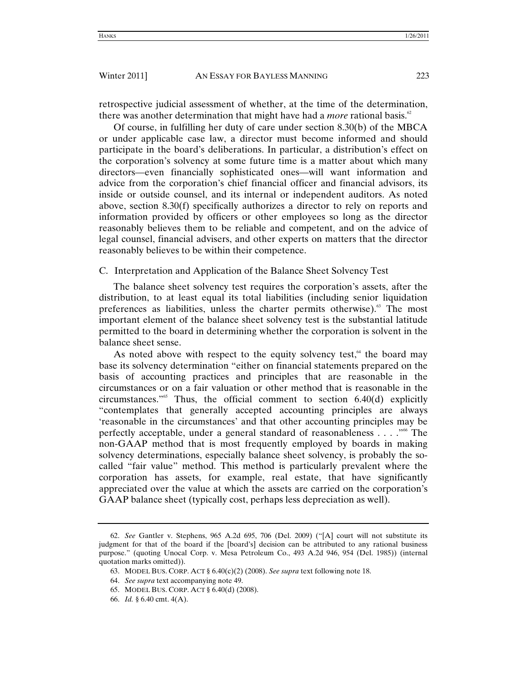retrospective judicial assessment of whether, at the time of the determination, there was another determination that might have had a *more* rational basis.<sup>62</sup>

Of course, in fulfilling her duty of care under section 8.30(b) of the MBCA or under applicable case law, a director must become informed and should participate in the board's deliberations. In particular, a distribution's effect on the corporation's solvency at some future time is a matter about which many directors—even financially sophisticated ones—will want information and advice from the corporation's chief financial officer and financial advisors, its inside or outside counsel, and its internal or independent auditors. As noted above, section 8.30(f) specifically authorizes a director to rely on reports and information provided by officers or other employees so long as the director reasonably believes them to be reliable and competent, and on the advice of legal counsel, financial advisers, and other experts on matters that the director reasonably believes to be within their competence.

C. Interpretation and Application of the Balance Sheet Solvency Test

The balance sheet solvency test requires the corporation's assets, after the distribution, to at least equal its total liabilities (including senior liquidation preferences as liabilities, unless the charter permits otherwise).<sup>63</sup> The most important element of the balance sheet solvency test is the substantial latitude permitted to the board in determining whether the corporation is solvent in the balance sheet sense.

As noted above with respect to the equity solvency test, $64$  the board may base its solvency determination "either on financial statements prepared on the basis of accounting practices and principles that are reasonable in the circumstances or on a fair valuation or other method that is reasonable in the circumstances." $65$  Thus, the official comment to section 6.40(d) explicitly "contemplates that generally accepted accounting principles are always 'reasonable in the circumstances' and that other accounting principles may be perfectly acceptable, under a general standard of reasonableness  $\dots$  . . . . The non-GAAP method that is most frequently employed by boards in making solvency determinations, especially balance sheet solvency, is probably the socalled "fair value" method. This method is particularly prevalent where the corporation has assets, for example, real estate, that have significantly appreciated over the value at which the assets are carried on the corporation's GAAP balance sheet (typically cost, perhaps less depreciation as well).

<sup>62.</sup> *See* Gantler v. Stephens, 965 A.2d 695, 706 (Del. 2009) ("[A] court will not substitute its judgment for that of the board if the [board's] decision can be attributed to any rational business purpose." (quoting Unocal Corp. v. Mesa Petroleum Co., 493 A.2d 946, 954 (Del. 1985)) (internal quotation marks omitted)).

 <sup>63.</sup> MODEL BUS. CORP. ACT § 6.40(c)(2) (2008). *See supra* text following note 18.

<sup>64.</sup> *See supra* text accompanying note 49.

 <sup>65.</sup> MODEL BUS. CORP. ACT § 6.40(d) (2008).

<sup>66.</sup> *Id.* § 6.40 cmt. 4(A).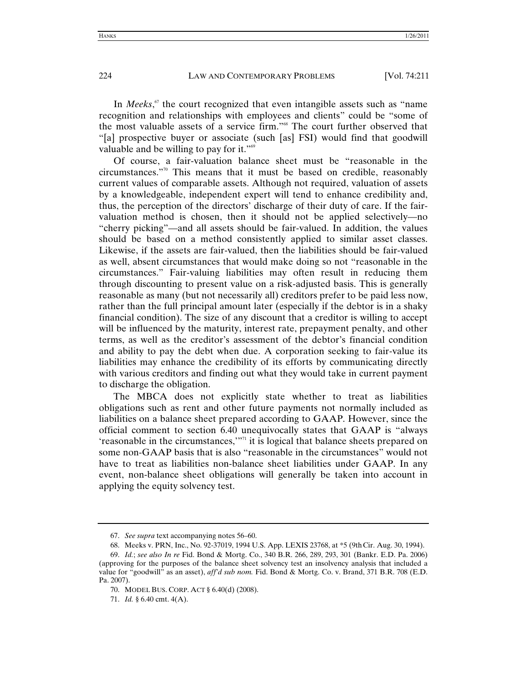In *Meeks*, 67 the court recognized that even intangible assets such as "name recognition and relationships with employees and clients" could be "some of the most valuable assets of a service firm."68 The court further observed that "[a] prospective buyer or associate (such [as] FSI) would find that goodwill valuable and be willing to pay for it."<sup>69</sup>

Of course, a fair-valuation balance sheet must be "reasonable in the circumstances."70 This means that it must be based on credible, reasonably current values of comparable assets. Although not required, valuation of assets by a knowledgeable, independent expert will tend to enhance credibility and, thus, the perception of the directors' discharge of their duty of care. If the fairvaluation method is chosen, then it should not be applied selectively—no "cherry picking"—and all assets should be fair-valued. In addition, the values should be based on a method consistently applied to similar asset classes. Likewise, if the assets are fair-valued, then the liabilities should be fair-valued as well, absent circumstances that would make doing so not "reasonable in the circumstances." Fair-valuing liabilities may often result in reducing them through discounting to present value on a risk-adjusted basis. This is generally reasonable as many (but not necessarily all) creditors prefer to be paid less now, rather than the full principal amount later (especially if the debtor is in a shaky financial condition). The size of any discount that a creditor is willing to accept will be influenced by the maturity, interest rate, prepayment penalty, and other terms, as well as the creditor's assessment of the debtor's financial condition and ability to pay the debt when due. A corporation seeking to fair-value its liabilities may enhance the credibility of its efforts by communicating directly with various creditors and finding out what they would take in current payment to discharge the obligation.

The MBCA does not explicitly state whether to treat as liabilities obligations such as rent and other future payments not normally included as liabilities on a balance sheet prepared according to GAAP. However, since the official comment to section 6.40 unequivocally states that GAAP is "always 'reasonable in the circumstances,'"71 it is logical that balance sheets prepared on some non-GAAP basis that is also "reasonable in the circumstances" would not have to treat as liabilities non-balance sheet liabilities under GAAP. In any event, non-balance sheet obligations will generally be taken into account in applying the equity solvency test.

<sup>67.</sup> *See supra* text accompanying notes 56–60.

 <sup>68.</sup> Meeks v. PRN, Inc., No. 92-37019, 1994 U.S. App. LEXIS 23768, at \*5 (9thCir. Aug. 30, 1994).

<sup>69.</sup> *Id.*; *see also In re* Fid. Bond & Mortg. Co., 340 B.R. 266, 289, 293, 301 (Bankr. E.D. Pa. 2006) (approving for the purposes of the balance sheet solvency test an insolvency analysis that included a value for "goodwill" as an asset), *aff'd sub nom.* Fid. Bond & Mortg. Co. v. Brand, 371 B.R. 708 (E.D. Pa. 2007).

 <sup>70.</sup> MODEL BUS. CORP. ACT § 6.40(d) (2008).

<sup>71.</sup> *Id.* § 6.40 cmt. 4(A).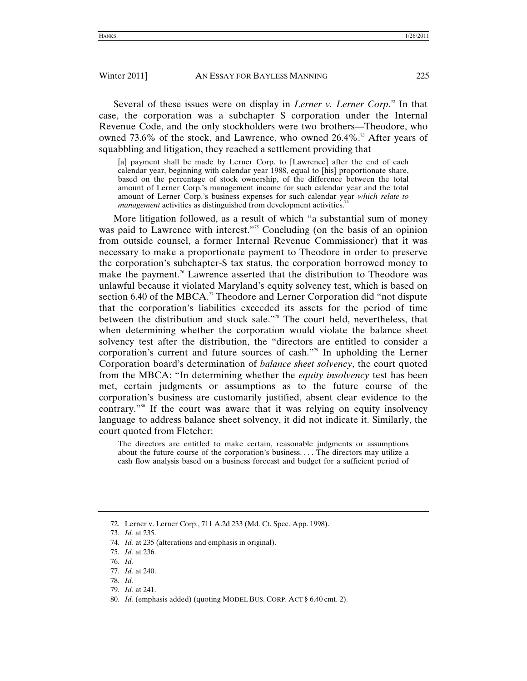Several of these issues were on display in *Lerner v. Lerner Corp*.<sup>2</sup> In that case, the corporation was a subchapter S corporation under the Internal Revenue Code, and the only stockholders were two brothers—Theodore, who owned 73.6% of the stock, and Lawrence, who owned 26.4%.<sup>73</sup> After years of squabbling and litigation, they reached a settlement providing that

[a] payment shall be made by Lerner Corp. to [Lawrence] after the end of each calendar year, beginning with calendar year 1988, equal to [his] proportionate share, based on the percentage of stock ownership, of the difference between the total amount of Lerner Corp.'s management income for such calendar year and the total amount of Lerner Corp.'s business expenses for such calendar year *which relate to management* activities as distinguished from development activities.<sup>7</sup>

More litigation followed, as a result of which "a substantial sum of money was paid to Lawrence with interest."<sup>5</sup> Concluding (on the basis of an opinion from outside counsel, a former Internal Revenue Commissioner) that it was necessary to make a proportionate payment to Theodore in order to preserve the corporation's subchapter-S tax status, the corporation borrowed money to make the payment.<sup>76</sup> Lawrence asserted that the distribution to Theodore was unlawful because it violated Maryland's equity solvency test, which is based on section 6.40 of the MBCA.<sup>7</sup> Theodore and Lerner Corporation did "not dispute that the corporation's liabilities exceeded its assets for the period of time between the distribution and stock sale."78 The court held, nevertheless, that when determining whether the corporation would violate the balance sheet solvency test after the distribution, the "directors are entitled to consider a corporation's current and future sources of cash."<sup>79</sup> In upholding the Lerner Corporation board's determination of *balance sheet solvency*, the court quoted from the MBCA: "In determining whether the *equity insolvency* test has been met, certain judgments or assumptions as to the future course of the corporation's business are customarily justified, absent clear evidence to the contrary.<sup>"80</sup> If the court was aware that it was relying on equity insolvency language to address balance sheet solvency, it did not indicate it. Similarly, the court quoted from Fletcher:

The directors are entitled to make certain, reasonable judgments or assumptions about the future course of the corporation's business. . . . The directors may utilize a cash flow analysis based on a business forecast and budget for a sufficient period of

- 75. *Id.* at 236.
- 76. *Id.*
- 77. *Id.* at 240.
- 78. *Id.*
- 79. *Id.* at 241.
- 80. *Id.* (emphasis added) (quoting MODEL BUS. CORP. ACT § 6.40 cmt. 2).

 <sup>72.</sup> Lerner v. Lerner Corp., 711 A.2d 233 (Md. Ct. Spec. App. 1998).

<sup>73.</sup> *Id.* at 235.

<sup>74.</sup> *Id.* at 235 (alterations and emphasis in original).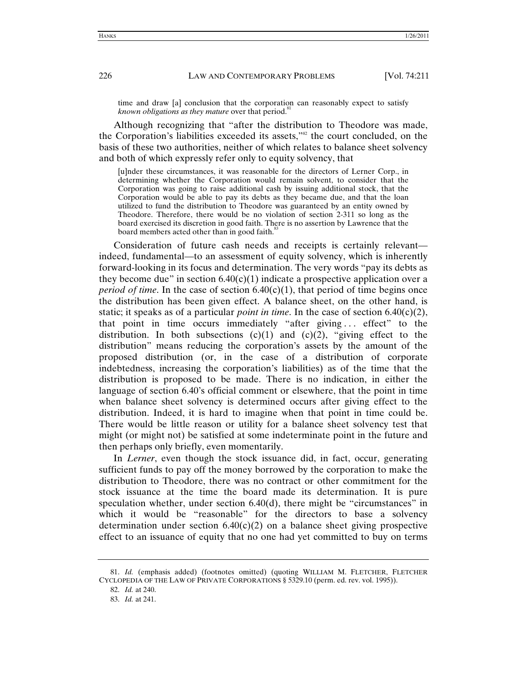time and draw [a] conclusion that the corporation can reasonably expect to satisfy *known obligations as they mature* over that period.<sup>81</sup>

Although recognizing that "after the distribution to Theodore was made, the Corporation's liabilities exceeded its assets,"<sup>82</sup> the court concluded, on the basis of these two authorities, neither of which relates to balance sheet solvency and both of which expressly refer only to equity solvency, that

[u]nder these circumstances, it was reasonable for the directors of Lerner Corp., in determining whether the Corporation would remain solvent, to consider that the Corporation was going to raise additional cash by issuing additional stock, that the Corporation would be able to pay its debts as they became due, and that the loan utilized to fund the distribution to Theodore was guaranteed by an entity owned by Theodore. Therefore, there would be no violation of section 2-311 so long as the board exercised its discretion in good faith. There is no assertion by Lawrence that the board members acted other than in good faith.<sup>83</sup>

Consideration of future cash needs and receipts is certainly relevant indeed, fundamental—to an assessment of equity solvency, which is inherently forward-looking in its focus and determination. The very words "pay its debts as they become due" in section  $6.40(c)(1)$  indicate a prospective application over a *period of time*. In the case of section  $6.40(c)(1)$ , that period of time begins once the distribution has been given effect. A balance sheet, on the other hand, is static; it speaks as of a particular *point in time*. In the case of section  $6.40(c)(2)$ , that point in time occurs immediately "after giving . . . effect" to the distribution. In both subsections  $(c)(1)$  and  $(c)(2)$ , "giving effect to the distribution" means reducing the corporation's assets by the amount of the proposed distribution (or, in the case of a distribution of corporate indebtedness, increasing the corporation's liabilities) as of the time that the distribution is proposed to be made. There is no indication, in either the language of section 6.40's official comment or elsewhere, that the point in time when balance sheet solvency is determined occurs after giving effect to the distribution. Indeed, it is hard to imagine when that point in time could be. There would be little reason or utility for a balance sheet solvency test that might (or might not) be satisfied at some indeterminate point in the future and then perhaps only briefly, even momentarily.

In *Lerner*, even though the stock issuance did, in fact, occur, generating sufficient funds to pay off the money borrowed by the corporation to make the distribution to Theodore, there was no contract or other commitment for the stock issuance at the time the board made its determination. It is pure speculation whether, under section 6.40(d), there might be "circumstances" in which it would be "reasonable" for the directors to base a solvency determination under section  $6.40(c)(2)$  on a balance sheet giving prospective effect to an issuance of equity that no one had yet committed to buy on terms

<sup>81.</sup> *Id.* (emphasis added) (footnotes omitted) (quoting WILLIAM M. FLETCHER, FLETCHER CYCLOPEDIA OF THE LAW OF PRIVATE CORPORATIONS § 5329.10 (perm. ed. rev. vol. 1995)).

<sup>82.</sup> *Id.* at 240.

<sup>83.</sup> *Id.* at 241.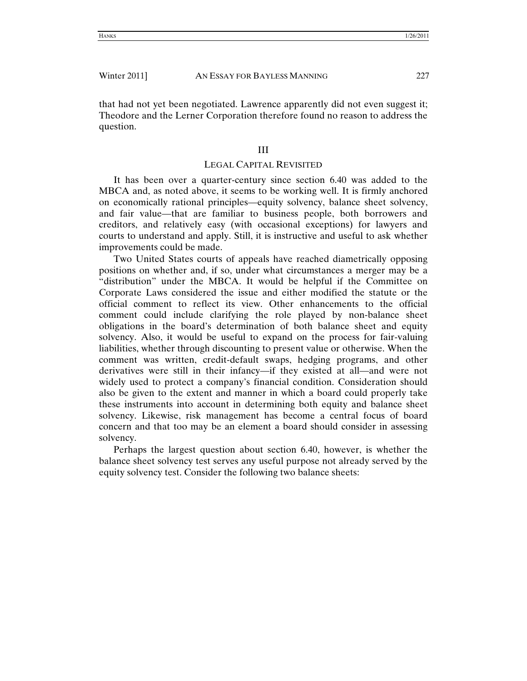that had not yet been negotiated. Lawrence apparently did not even suggest it; Theodore and the Lerner Corporation therefore found no reason to address the question.

## III

## LEGAL CAPITAL REVISITED

It has been over a quarter-century since section 6.40 was added to the MBCA and, as noted above, it seems to be working well. It is firmly anchored on economically rational principles—equity solvency, balance sheet solvency, and fair value—that are familiar to business people, both borrowers and creditors, and relatively easy (with occasional exceptions) for lawyers and courts to understand and apply. Still, it is instructive and useful to ask whether improvements could be made.

Two United States courts of appeals have reached diametrically opposing positions on whether and, if so, under what circumstances a merger may be a "distribution" under the MBCA. It would be helpful if the Committee on Corporate Laws considered the issue and either modified the statute or the official comment to reflect its view. Other enhancements to the official comment could include clarifying the role played by non-balance sheet obligations in the board's determination of both balance sheet and equity solvency. Also, it would be useful to expand on the process for fair-valuing liabilities, whether through discounting to present value or otherwise. When the comment was written, credit-default swaps, hedging programs, and other derivatives were still in their infancy—if they existed at all—and were not widely used to protect a company's financial condition. Consideration should also be given to the extent and manner in which a board could properly take these instruments into account in determining both equity and balance sheet solvency. Likewise, risk management has become a central focus of board concern and that too may be an element a board should consider in assessing solvency.

Perhaps the largest question about section 6.40, however, is whether the balance sheet solvency test serves any useful purpose not already served by the equity solvency test. Consider the following two balance sheets: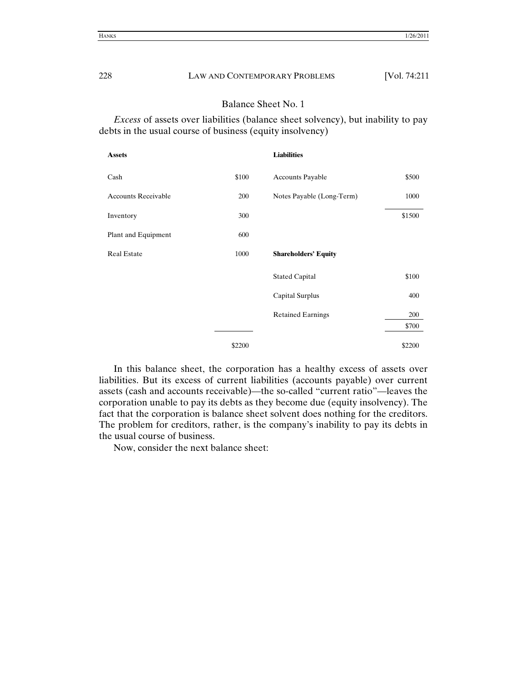## Balance Sheet No. 1

*Excess* of assets over liabilities (balance sheet solvency), but inability to pay debts in the usual course of business (equity insolvency)

| <b>Assets</b>              |        | <b>Liabilities</b>          |        |
|----------------------------|--------|-----------------------------|--------|
| Cash                       | \$100  | <b>Accounts Payable</b>     | \$500  |
| <b>Accounts Receivable</b> | 200    | Notes Payable (Long-Term)   | 1000   |
| Inventory                  | 300    |                             | \$1500 |
| Plant and Equipment        | 600    |                             |        |
| <b>Real Estate</b>         | 1000   | <b>Shareholders' Equity</b> |        |
|                            |        | <b>Stated Capital</b>       | \$100  |
|                            |        | Capital Surplus             | 400    |
|                            |        | <b>Retained Earnings</b>    | 200    |
|                            |        |                             | \$700  |
|                            | \$2200 |                             | \$2200 |

In this balance sheet, the corporation has a healthy excess of assets over liabilities. But its excess of current liabilities (accounts payable) over current assets (cash and accounts receivable)—the so-called "current ratio"—leaves the corporation unable to pay its debts as they become due (equity insolvency). The fact that the corporation is balance sheet solvent does nothing for the creditors. The problem for creditors, rather, is the company's inability to pay its debts in the usual course of business.

Now, consider the next balance sheet: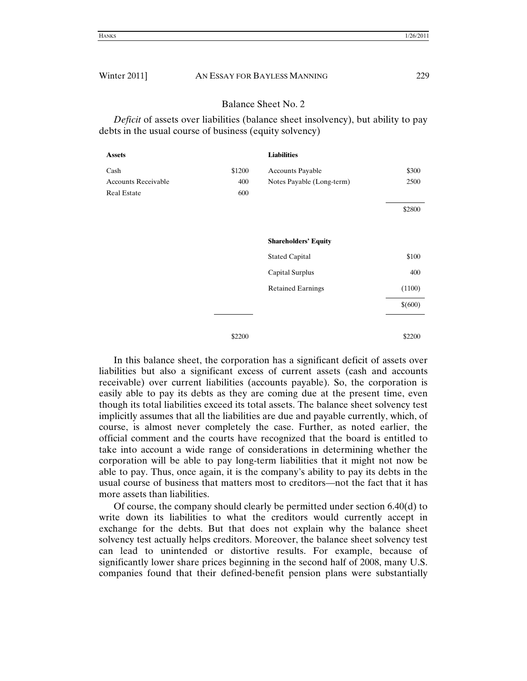## Balance Sheet No. 2

*Deficit* of assets over liabilities (balance sheet insolvency), but ability to pay debts in the usual course of business (equity solvency)

| <b>Assets</b>              |        | <b>Liabilities</b>          |         |
|----------------------------|--------|-----------------------------|---------|
| Cash                       | \$1200 | <b>Accounts Payable</b>     | \$300   |
| <b>Accounts Receivable</b> | 400    | Notes Payable (Long-term)   | 2500    |
| <b>Real Estate</b>         | 600    |                             |         |
|                            |        |                             | \$2800  |
|                            |        | <b>Shareholders' Equity</b> |         |
|                            |        | <b>Stated Capital</b>       | \$100   |
|                            |        | Capital Surplus             | 400     |
|                            |        | <b>Retained Earnings</b>    | (1100)  |
|                            |        |                             | \$(600) |
|                            | \$2200 |                             | \$2200  |

In this balance sheet, the corporation has a significant deficit of assets over liabilities but also a significant excess of current assets (cash and accounts receivable) over current liabilities (accounts payable). So, the corporation is easily able to pay its debts as they are coming due at the present time, even though its total liabilities exceed its total assets. The balance sheet solvency test implicitly assumes that all the liabilities are due and payable currently, which, of course, is almost never completely the case. Further, as noted earlier, the official comment and the courts have recognized that the board is entitled to take into account a wide range of considerations in determining whether the corporation will be able to pay long-term liabilities that it might not now be able to pay. Thus, once again, it is the company's ability to pay its debts in the usual course of business that matters most to creditors—not the fact that it has more assets than liabilities.

Of course, the company should clearly be permitted under section  $6.40(d)$  to write down its liabilities to what the creditors would currently accept in exchange for the debts. But that does not explain why the balance sheet solvency test actually helps creditors. Moreover, the balance sheet solvency test can lead to unintended or distortive results. For example, because of significantly lower share prices beginning in the second half of 2008, many U.S. companies found that their defined-benefit pension plans were substantially